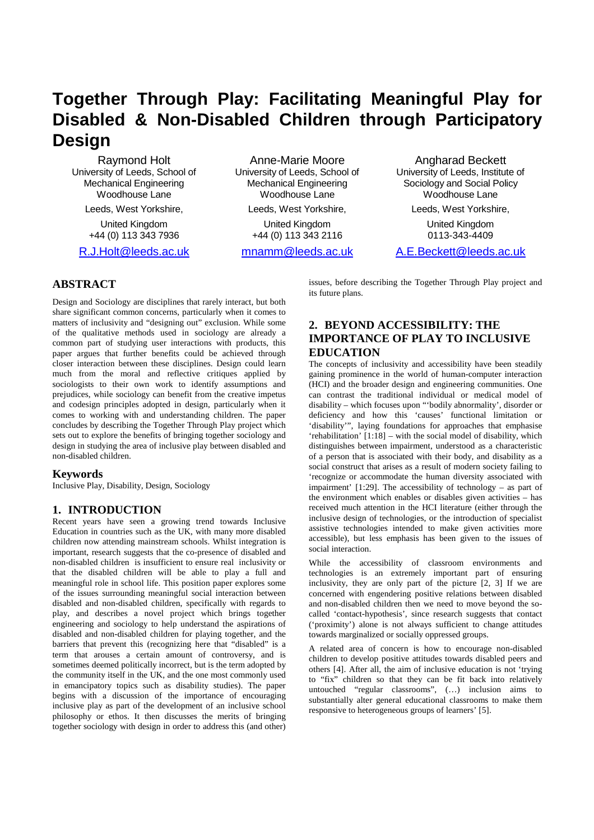# **Together Through Play: Facilitating Meaningful Play for Disabled & Non-Disabled Children through Participatory Design**

Raymond Holt University of Leeds, School of Mechanical Engineering Woodhouse Lane

> Leeds, West Yorkshire, United Kingdom

> +44 (0) 113 343 7936

R.J.Holt@leeds.ac.uk

Anne-Marie Moore University of Leeds, School of Mechanical Engineering Woodhouse Lane

Leeds, West Yorkshire, United Kingdom +44 (0) 113 343 2116

mnamm@leeds.ac.uk

Angharad Beckett University of Leeds, Institute of Sociology and Social Policy Woodhouse Lane

Leeds, West Yorkshire,

United Kingdom 0113-343-4409

A.E.Beckett@leeds.ac.uk

# **ABSTRACT**

Design and Sociology are disciplines that rarely interact, but both share significant common concerns, particularly when it comes to matters of inclusivity and "designing out" exclusion. While some of the qualitative methods used in sociology are already a common part of studying user interactions with products, this paper argues that further benefits could be achieved through closer interaction between these disciplines. Design could learn much from the moral and reflective critiques applied by sociologists to their own work to identify assumptions and prejudices, while sociology can benefit from the creative impetus and codesign principles adopted in design, particularly when it comes to working with and understanding children. The paper concludes by describing the Together Through Play project which sets out to explore the benefits of bringing together sociology and design in studying the area of inclusive play between disabled and non-disabled children.

#### **Keywords**

Inclusive Play, Disability, Design, Sociology

# **1. INTRODUCTION**

Recent years have seen a growing trend towards Inclusive Education in countries such as the UK, with many more disabled children now attending mainstream schools. Whilst integration is important, research suggests that the co-presence of disabled and non-disabled children is insufficient to ensure real inclusivity or that the disabled children will be able to play a full and meaningful role in school life. This position paper explores some of the issues surrounding meaningful social interaction between disabled and non-disabled children, specifically with regards to play, and describes a novel project which brings together engineering and sociology to help understand the aspirations of disabled and non-disabled children for playing together, and the barriers that prevent this (recognizing here that "disabled" is a term that arouses a certain amount of controversy, and is sometimes deemed politically incorrect, but is the term adopted by the community itself in the UK, and the one most commonly used in emancipatory topics such as disability studies). The paper begins with a discussion of the importance of encouraging inclusive play as part of the development of an inclusive school philosophy or ethos. It then discusses the merits of bringing together sociology with design in order to address this (and other) issues, before describing the Together Through Play project and its future plans.

# **2. BEYOND ACCESSIBILITY: THE IMPORTANCE OF PLAY TO INCLUSIVE EDUCATION**

The concepts of inclusivity and accessibility have been steadily gaining prominence in the world of human-computer interaction (HCI) and the broader design and engineering communities. One can contrast the traditional individual or medical model of disability – which focuses upon "'bodily abnormality', disorder or deficiency and how this 'causes' functional limitation or 'disability'", laying foundations for approaches that emphasise 'rehabilitation' [1:18] – with the social model of disability, which distinguishes between impairment, understood as a characteristic of a person that is associated with their body, and disability as a social construct that arises as a result of modern society failing to 'recognize or accommodate the human diversity associated with impairment' [1:29]. The accessibility of technology – as part of the environment which enables or disables given activities – has received much attention in the HCI literature (either through the inclusive design of technologies, or the introduction of specialist assistive technologies intended to make given activities more accessible), but less emphasis has been given to the issues of social interaction.

While the accessibility of classroom environments and technologies is an extremely important part of ensuring inclusivity, they are only part of the picture [2, 3] If we are concerned with engendering positive relations between disabled and non-disabled children then we need to move beyond the socalled 'contact-hypothesis', since research suggests that contact ('proximity') alone is not always sufficient to change attitudes towards marginalized or socially oppressed groups.

A related area of concern is how to encourage non-disabled children to develop positive attitudes towards disabled peers and others [4]. After all, the aim of inclusive education is not 'trying to "fix" children so that they can be fit back into relatively untouched "regular classrooms", (…) inclusion aims to substantially alter general educational classrooms to make them responsive to heterogeneous groups of learners' [5].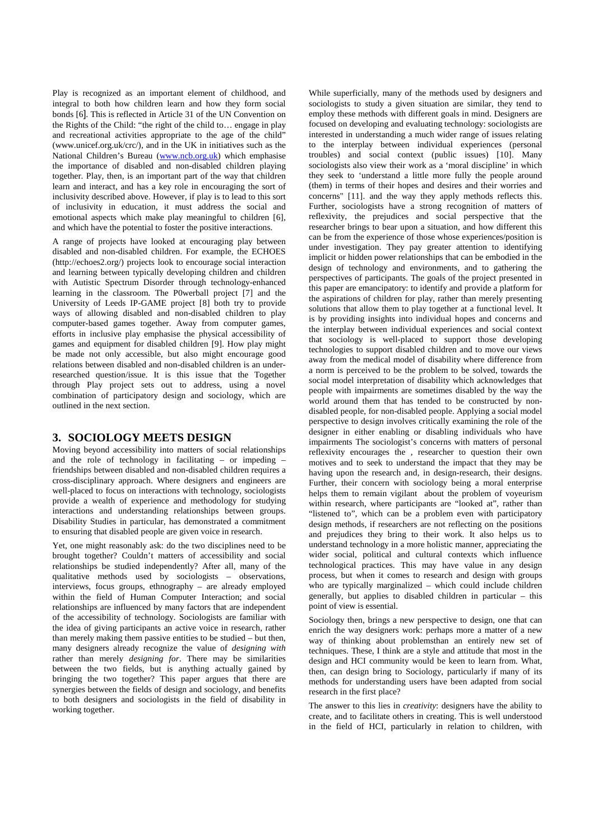Play is recognized as an important element of childhood, and integral to both how children learn and how they form social bonds [6]. This is reflected in Article 31 of the UN Convention on the Rights of the Child: "the right of the child to… engage in play and recreational activities appropriate to the age of the child" (www.unicef.org.uk/crc/), and in the UK in initiatives such as the National Children's Bureau (www.ncb.org.uk) which emphasise the importance of disabled and non-disabled children playing together. Play, then, is an important part of the way that children learn and interact, and has a key role in encouraging the sort of inclusivity described above. However, if play is to lead to this sort of inclusivity in education, it must address the social and emotional aspects which make play meaningful to children [6], and which have the potential to foster the positive interactions.

A range of projects have looked at encouraging play between disabled and non-disabled children. For example, the ECHOES (http://echoes2.org/) projects look to encourage social interaction and learning between typically developing children and children with Autistic Spectrum Disorder through technology-enhanced learning in the classroom. The P0werball project [7] and the University of Leeds IP-GAME project [8] both try to provide ways of allowing disabled and non-disabled children to play computer-based games together. Away from computer games, efforts in inclusive play emphasise the physical accessibility of games and equipment for disabled children [9]. How play might be made not only accessible, but also might encourage good relations between disabled and non-disabled children is an underresearched question/issue. It is this issue that the Together through Play project sets out to address, using a novel combination of participatory design and sociology, which are outlined in the next section.

#### **3. SOCIOLOGY MEETS DESIGN**

Moving beyond accessibility into matters of social relationships and the role of technology in facilitating – or impeding – friendships between disabled and non-disabled children requires a cross-disciplinary approach. Where designers and engineers are well-placed to focus on interactions with technology, sociologists provide a wealth of experience and methodology for studying interactions and understanding relationships between groups. Disability Studies in particular, has demonstrated a commitment to ensuring that disabled people are given voice in research.

Yet, one might reasonably ask: do the two disciplines need to be brought together? Couldn't matters of accessibility and social relationships be studied independently? After all, many of the qualitative methods used by sociologists – observations, interviews, focus groups, ethnography – are already employed within the field of Human Computer Interaction; and social relationships are influenced by many factors that are independent of the accessibility of technology. Sociologists are familiar with the idea of giving participants an active voice in research, rather than merely making them passive entities to be studied – but then, many designers already recognize the value of *designing with* rather than merely *designing for*. There may be similarities between the two fields, but is anything actually gained by bringing the two together? This paper argues that there are synergies between the fields of design and sociology, and benefits to both designers and sociologists in the field of disability in working together.

While superficially, many of the methods used by designers and sociologists to study a given situation are similar, they tend to employ these methods with different goals in mind. Designers are focused on developing and evaluating technology: sociologists are interested in understanding a much wider range of issues relating to the interplay between individual experiences (personal troubles) and social context (public issues) [10]. Many sociologists also view their work as a 'moral discipline' in which they seek to 'understand a little more fully the people around (them) in terms of their hopes and desires and their worries and concerns" [11]. and the way they apply methods reflects this. Further, sociologists have a strong recognition of matters of reflexivity, the prejudices and social perspective that the researcher brings to bear upon a situation, and how different this can be from the experience of those whose experiences/position is under investigation. They pay greater attention to identifying implicit or hidden power relationships that can be embodied in the design of technology and environments, and to gathering the perspectives of participants. The goals of the project presented in this paper are emancipatory: to identify and provide a platform for the aspirations of children for play, rather than merely presenting solutions that allow them to play together at a functional level. It is by providing insights into individual hopes and concerns and the interplay between individual experiences and social context that sociology is well-placed to support those developing technologies to support disabled children and to move our views away from the medical model of disability where difference from a norm is perceived to be the problem to be solved, towards the social model interpretation of disability which acknowledges that people with impairments are sometimes disabled by the way the world around them that has tended to be constructed by nondisabled people, for non-disabled people. Applying a social model perspective to design involves critically examining the role of the designer in either enabling or disabling individuals who have impairments The sociologist's concerns with matters of personal reflexivity encourages the , researcher to question their own motives and to seek to understand the impact that they may be having upon the research and, in design-research, their designs. Further, their concern with sociology being a moral enterprise helps them to remain vigilant about the problem of voyeurism within research, where participants are "looked at", rather than "listened to", which can be a problem even with participatory design methods, if researchers are not reflecting on the positions and prejudices they bring to their work. It also helps us to understand technology in a more holistic manner, appreciating the wider social, political and cultural contexts which influence technological practices. This may have value in any design process, but when it comes to research and design with groups who are typically marginalized – which could include children generally, but applies to disabled children in particular – this point of view is essential.

Sociology then, brings a new perspective to design, one that can enrich the way designers work: perhaps more a matter of a new way of thinking about problemsthan an entirely new set of techniques. These, I think are a style and attitude that most in the design and HCI community would be keen to learn from. What, then, can design bring to Sociology, particularly if many of its methods for understanding users have been adapted from social research in the first place?

The answer to this lies in *creativity*: designers have the ability to create, and to facilitate others in creating. This is well understood in the field of HCI, particularly in relation to children, with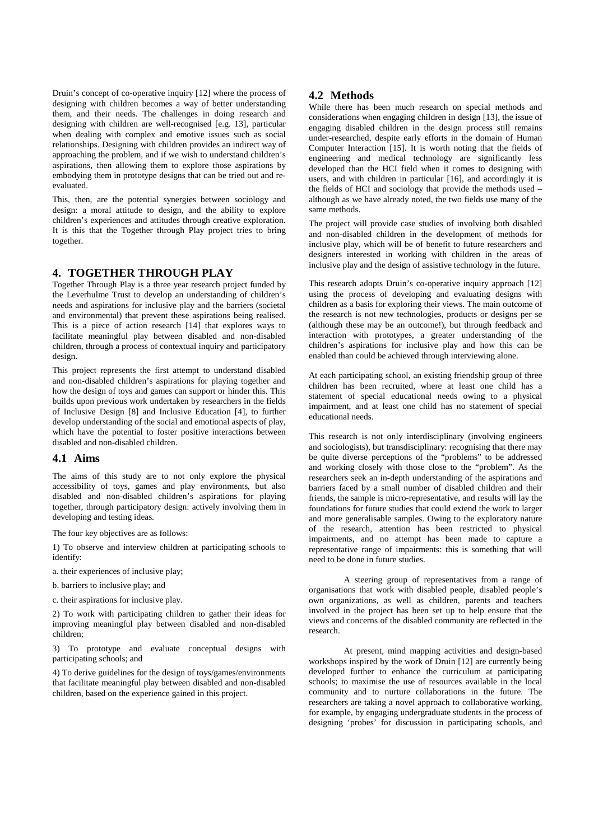Druin's concept of co-operative inquiry [12] where the process of designing with children becomes a way of better understanding them, and their needs. The challenges in doing research and designing with children are well-recognised [e.g. 13], particular when dealing with complex and emotive issues such as social relationships. Designing with children provides an indirect way of approaching the problem, and if we wish to understand children's aspirations, then allowing them to explore those aspirations by embodying them in prototype designs that can be tried out and reevaluated.

This, then, are the potential synergies between sociology and design: a moral attitude to design, and the ability to explore children's experiences and attitudes through creative exploration. It is this that the Together through Play project tries to bring together.

#### **4. TOGETHER THROUGH PLAY**

Together Through Play is a three year research project funded by the Leverhulme Trust to develop an understanding of children's needs and aspirations for inclusive play and the barriers (societal and environmental) that prevent these aspirations being realised. This is a piece of action research [14] that explores ways to facilitate meaningful play between disabled and non-disabled children, through a process of contextual inquiry and participatory design.

This project represents the first attempt to understand disabled and non-disabled children's aspirations for playing together and how the design of toys and games can support or hinder this. This builds upon previous work undertaken by researchers in the fields of Inclusive Design [8] and Inclusive Education [4], to further develop understanding of the social and emotional aspects of play, which have the potential to foster positive interactions between disabled and non-disabled children.

#### **4.1 Aims**

The aims of this study are to not only explore the physical accessibility of toys, games and play environments, but also disabled and non-disabled children's aspirations for playing together, through participatory design: actively involving them in developing and testing ideas.

The four key objectives are as follows:

1) To observe and interview children at participating schools to identify:

a. their experiences of inclusive play;

b. barriers to inclusive play; and

c. their aspirations for inclusive play.

2) To work with participating children to gather their ideas for improving meaningful play between disabled and non-disabled children;

3) To prototype and evaluate conceptual designs with participating schools; and

4) To derive guidelines for the design of toys/games/environments that facilitate meaningful play between disabled and non-disabled children, based on the experience gained in this project.

## **4.2 Methods**

While there has been much research on special methods and considerations when engaging children in design [13], the issue of engaging disabled children in the design process still remains under-researched, despite early efforts in the domain of Human Computer Interaction [15]. It is worth noting that the fields of engineering and medical technology are significantly less developed than the HCI field when it comes to designing with users, and with children in particular [16], and accordingly it is the fields of HCI and sociology that provide the methods used – although as we have already noted, the two fields use many of the same methods.

The project will provide case studies of involving both disabled and non-disabled children in the development of methods for inclusive play, which will be of benefit to future researchers and designers interested in working with children in the areas of inclusive play and the design of assistive technology in the future.

This research adopts Druin's co-operative inquiry approach [12] using the process of developing and evaluating designs with children as a basis for exploring their views. The main outcome of the research is not new technologies, products or designs per se (although these may be an outcome!), but through feedback and interaction with prototypes, a greater understanding of the children's aspirations for inclusive play and how this can be enabled than could be achieved through interviewing alone.

At each participating school, an existing friendship group of three children has been recruited, where at least one child has a statement of special educational needs owing to a physical impairment, and at least one child has no statement of special educational needs.

This research is not only interdisciplinary (involving engineers and sociologists), but transdisciplinary: recognising that there may be quite diverse perceptions of the "problems" to be addressed and working closely with those close to the "problem". As the researchers seek an in-depth understanding of the aspirations and barriers faced by a small number of disabled children and their friends, the sample is micro-representative, and results will lay the foundations for future studies that could extend the work to larger and more generalisable samples. Owing to the exploratory nature of the research, attention has been restricted to physical impairments, and no attempt has been made to capture a representative range of impairments: this is something that will need to be done in future studies.

A steering group of representatives from a range of organisations that work with disabled people, disabled people's own organizations, as well as children, parents and teachers involved in the project has been set up to help ensure that the views and concerns of the disabled community are reflected in the research.

At present, mind mapping activities and design-based workshops inspired by the work of Druin [12] are currently being developed further to enhance the curriculum at participating schools; to maximise the use of resources available in the local community and to nurture collaborations in the future. The researchers are taking a novel approach to collaborative working, for example, by engaging undergraduate students in the process of designing 'probes' for discussion in participating schools, and